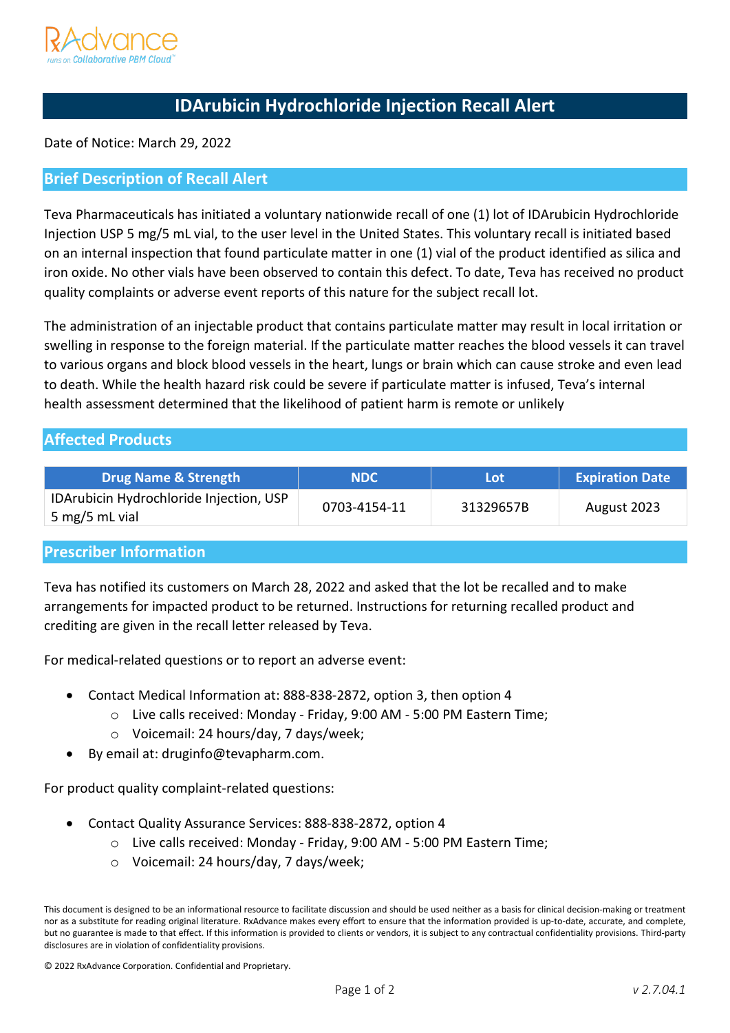

# **IDArubicin Hydrochloride Injection Recall Alert**

Date of Notice: March 29, 2022

#### **Brief Description of Recall Alert**

Teva Pharmaceuticals has initiated a voluntary nationwide recall of one (1) lot of IDArubicin Hydrochloride Injection USP 5 mg/5 mL vial, to the user level in the United States. This voluntary recall is initiated based on an internal inspection that found particulate matter in one (1) vial of the product identified as silica and iron oxide. No other vials have been observed to contain this defect. To date, Teva has received no product quality complaints or adverse event reports of this nature for the subject recall lot.

The administration of an injectable product that contains particulate matter may result in local irritation or swelling in response to the foreign material. If the particulate matter reaches the blood vessels it can travel to various organs and block blood vessels in the heart, lungs or brain which can cause stroke and even lead to death. While the health hazard risk could be severe if particulate matter is infused, Teva's internal health assessment determined that the likelihood of patient harm is remote or unlikely

## **Affected Products**

| <b>Drug Name &amp; Strength</b>                           | <b>NDC</b>   | Lot       | <b>Expiration Date</b> |
|-----------------------------------------------------------|--------------|-----------|------------------------|
| IDArubicin Hydrochloride Injection, USP<br>5 mg/5 mL vial | 0703-4154-11 | 31329657B | August 2023            |

### **Prescriber Information**

Teva has notified its customers on March 28, 2022 and asked that the lot be recalled and to make arrangements for impacted product to be returned. Instructions for returning recalled product and crediting are given in the recall letter released by Teva.

For medical-related questions or to report an adverse event:

- Contact Medical Information at: 888-838-2872, option 3, then option 4
	- o Live calls received: Monday Friday, 9:00 AM 5:00 PM Eastern Time;
	- o Voicemail: 24 hours/day, 7 days/week;
- By email at: druginfo@tevapharm.com.

For product quality complaint-related questions:

- Contact Quality Assurance Services: 888-838-2872, option 4
	- o Live calls received: Monday Friday, 9:00 AM 5:00 PM Eastern Time;
	- o Voicemail: 24 hours/day, 7 days/week;

This document is designed to be an informational resource to facilitate discussion and should be used neither as a basis for clinical decision-making or treatment nor as a substitute for reading original literature. RxAdvance makes every effort to ensure that the information provided is up-to-date, accurate, and complete, but no guarantee is made to that effect. If this information is provided to clients or vendors, it is subject to any contractual confidentiality provisions. Third-party disclosures are in violation of confidentiality provisions.

<sup>© 2022</sup> RxAdvance Corporation. Confidential and Proprietary.